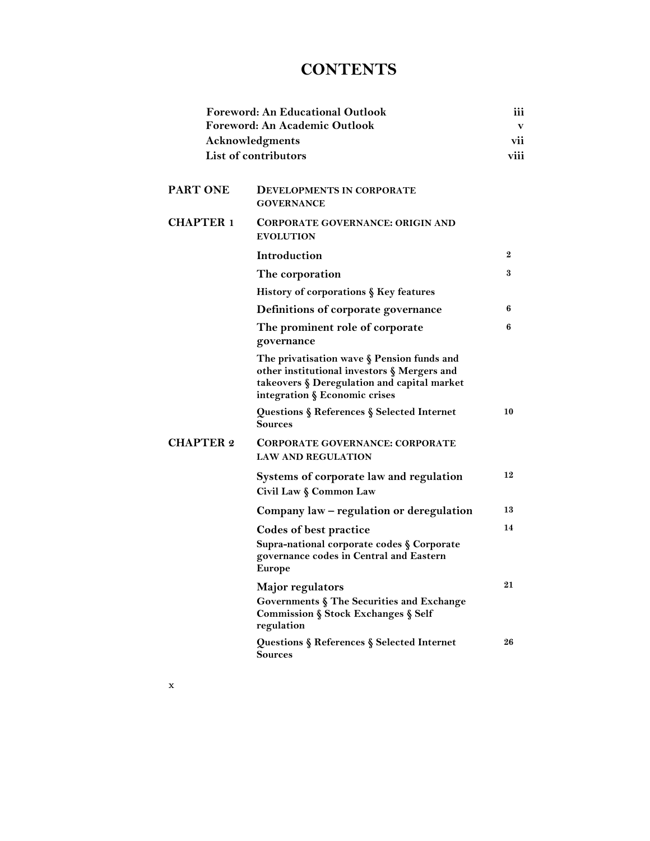## **CONTENTS**

|                      | Foreword: An Educational Outlook<br>Foreword: An Academic Outlook                                                                                                         | iii<br>v |
|----------------------|---------------------------------------------------------------------------------------------------------------------------------------------------------------------------|----------|
|                      | <b>Acknowledgments</b>                                                                                                                                                    | vii      |
| List of contributors |                                                                                                                                                                           | viii     |
| PART ONE             | <b>DEVELOPMENTS IN CORPORATE</b><br><b>GOVERNANCE</b>                                                                                                                     |          |
| <b>CHAPTER 1</b>     | CORPORATE GOVERNANCE: ORIGIN AND<br><b>EVOLUTION</b>                                                                                                                      |          |
|                      | Introduction                                                                                                                                                              | $\bf{2}$ |
|                      | The corporation                                                                                                                                                           | 3        |
|                      | History of corporations § Key features                                                                                                                                    |          |
|                      | Definitions of corporate governance                                                                                                                                       | 6        |
|                      | The prominent role of corporate<br>governance                                                                                                                             | 6        |
|                      | The privatisation wave § Pension funds and<br>other institutional investors § Mergers and<br>takeovers § Deregulation and capital market<br>integration § Economic crises |          |
|                      | Questions § References § Selected Internet<br><b>Sources</b>                                                                                                              | 10       |
| <b>CHAPTER 2</b>     | <b>CORPORATE GOVERNANCE: CORPORATE</b><br><b>LAW AND REGULATION</b>                                                                                                       |          |
|                      | Systems of corporate law and regulation<br>Civil Law § Common Law                                                                                                         | 12       |
|                      | Company law – regulation or deregulation                                                                                                                                  | 13       |
|                      | <b>Codes of best practice</b><br>Supra-national corporate codes § Corporate<br>governance codes in Central and Eastern<br><b>Europe</b>                                   | 14       |
|                      | Major regulators<br>Governments § The Securities and Exchange<br>Commission § Stock Exchanges § Self<br>regulation                                                        | 21       |
|                      | Questions § References § Selected Internet<br>Sources                                                                                                                     | 26       |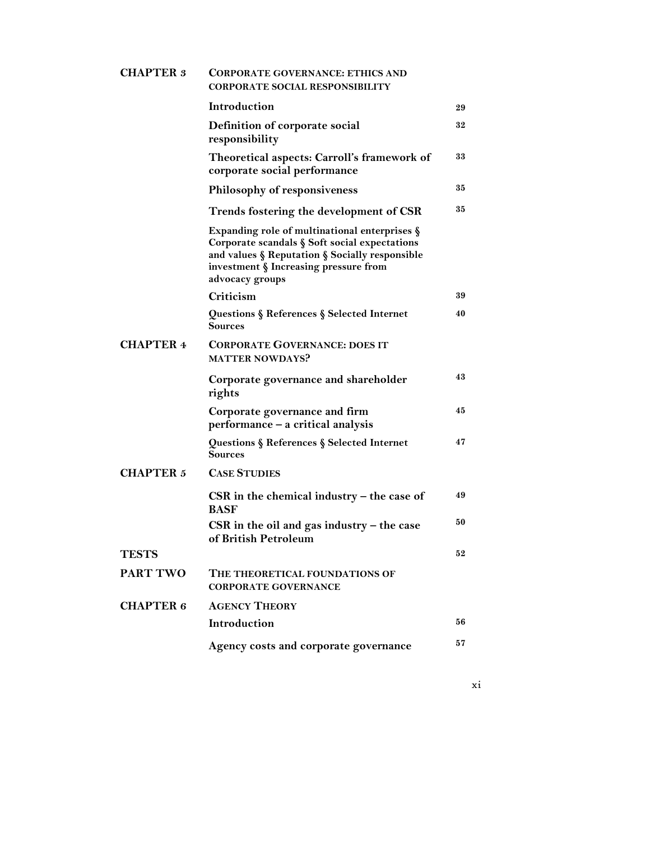| <b>CHAPTER 3</b> | <b>CORPORATE GOVERNANCE: ETHICS AND</b><br><b>CORPORATE SOCIAL RESPONSIBILITY</b>                                                                                                                               |    |
|------------------|-----------------------------------------------------------------------------------------------------------------------------------------------------------------------------------------------------------------|----|
|                  | Introduction                                                                                                                                                                                                    | 29 |
|                  | Definition of corporate social<br>responsibility                                                                                                                                                                | 32 |
|                  | Theoretical aspects: Carroll's framework of<br>corporate social performance                                                                                                                                     | 33 |
|                  | <b>Philosophy of responsiveness</b>                                                                                                                                                                             | 35 |
|                  | Trends fostering the development of CSR                                                                                                                                                                         | 35 |
|                  | Expanding role of multinational enterprises $\S$<br>Corporate scandals § Soft social expectations<br>and values § Reputation § Socially responsible<br>investment § Increasing pressure from<br>advocacy groups |    |
|                  | Criticism                                                                                                                                                                                                       | 39 |
|                  | Questions § References § Selected Internet<br>Sources                                                                                                                                                           | 40 |
| <b>CHAPTER 4</b> | <b>CORPORATE GOVERNANCE: DOES IT</b><br><b>MATTER NOWDAYS?</b>                                                                                                                                                  |    |
|                  | Corporate governance and shareholder<br>rights                                                                                                                                                                  | 43 |
|                  | Corporate governance and firm<br>performance - a critical analysis                                                                                                                                              | 45 |
|                  | Questions § References § Selected Internet<br>Sources                                                                                                                                                           | 47 |
| <b>CHAPTER 5</b> | <b>CASE STUDIES</b>                                                                                                                                                                                             |    |
|                  | $\operatorname{CSR}$ in the chemical industry – the case of<br><b>BASF</b>                                                                                                                                      | 49 |
|                  | CSR in the oil and gas industry $-$ the case<br>of British Petroleum                                                                                                                                            | 50 |
| <b>TESTS</b>     |                                                                                                                                                                                                                 | 52 |
| <b>PART TWO</b>  | THE THEORETICAL FOUNDATIONS OF<br><b>CORPORATE GOVERNANCE</b>                                                                                                                                                   |    |
| <b>CHAPTER 6</b> | <b>AGENCY THEORY</b>                                                                                                                                                                                            |    |
|                  | Introduction                                                                                                                                                                                                    | 56 |
|                  | Agency costs and corporate governance                                                                                                                                                                           | 57 |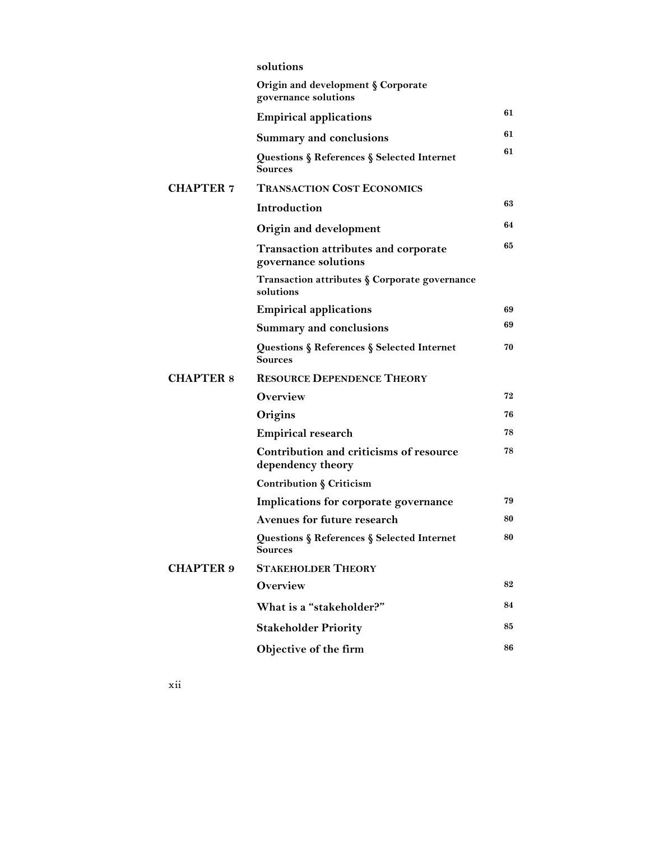|                  | solutions                                                           |    |
|------------------|---------------------------------------------------------------------|----|
|                  | Origin and development § Corporate<br>governance solutions          |    |
|                  | <b>Empirical applications</b>                                       | 61 |
|                  | <b>Summary and conclusions</b>                                      | 61 |
|                  | Questions § References § Selected Internet<br>Sources               | 61 |
| <b>CHAPTER 7</b> | <b>TRANSACTION COST ECONOMICS</b>                                   |    |
|                  | <b>Introduction</b>                                                 | 63 |
|                  | Origin and development                                              | 64 |
|                  | <b>Transaction attributes and corporate</b><br>governance solutions | 65 |
|                  | Transaction attributes § Corporate governance<br>solutions          |    |
|                  | <b>Empirical applications</b>                                       | 69 |
|                  | <b>Summary and conclusions</b>                                      | 69 |
|                  | Questions § References § Selected Internet<br>Sources               | 70 |
| <b>CHAPTER 8</b> | <b>RESOURCE DEPENDENCE THEORY</b>                                   |    |
|                  | Overview                                                            | 72 |
|                  | Origins                                                             | 76 |
|                  | <b>Empirical research</b>                                           | 78 |
|                  | Contribution and criticisms of resource<br>dependency theory        | 78 |
|                  | Contribution § Criticism                                            |    |
|                  | Implications for corporate governance                               | 79 |
|                  | Avenues for future research                                         | 80 |
|                  | Questions § References § Selected Internet<br>Sources               | 80 |
| <b>CHAPTER 9</b> | <b>STAKEHOLDER THEORY</b>                                           |    |
|                  | Overview                                                            | 82 |
|                  | What is a "stakeholder?"                                            | 84 |
|                  | <b>Stakeholder Priority</b>                                         | 85 |
|                  | Objective of the firm                                               | 86 |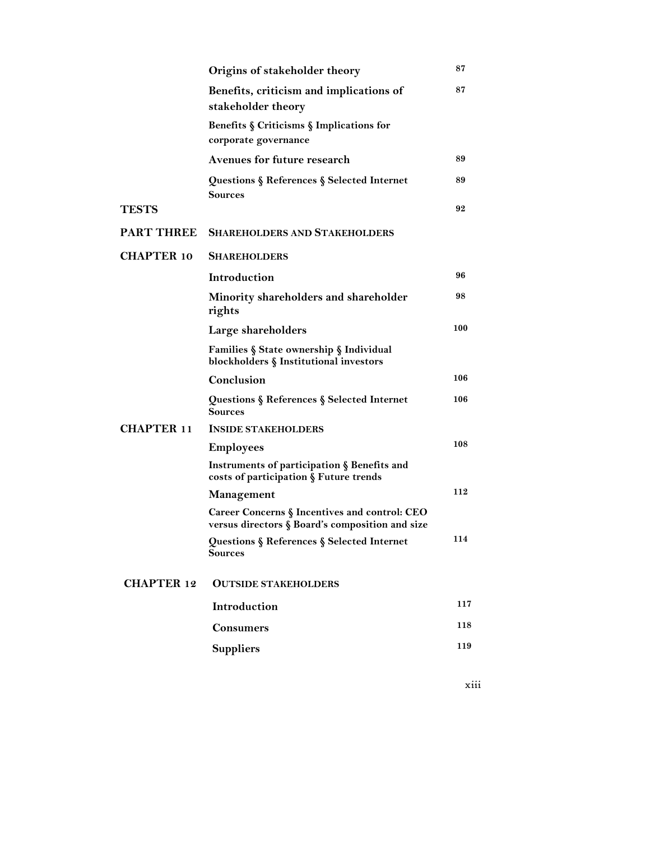|                   | Origins of stakeholder theory                                                                    | 87  |
|-------------------|--------------------------------------------------------------------------------------------------|-----|
|                   | Benefits, criticism and implications of<br>stakeholder theory                                    | 87  |
|                   | Benefits § Criticisms § Implications for<br>corporate governance                                 |     |
|                   | <b>Avenues for future research</b>                                                               | 89  |
|                   | Questions § References § Selected Internet<br><b>Sources</b>                                     | 89  |
| <b>TESTS</b>      |                                                                                                  | 92  |
| <b>PART THREE</b> | <b>SHAREHOLDERS AND STAKEHOLDERS</b>                                                             |     |
| <b>CHAPTER 10</b> | <b>SHAREHOLDERS</b>                                                                              |     |
|                   | Introduction                                                                                     | 96  |
|                   | Minority shareholders and shareholder<br>rights                                                  | 98  |
|                   | Large shareholders                                                                               | 100 |
|                   | <b>Families § State ownership § Individual</b><br>blockholders § Institutional investors         |     |
|                   | Conclusion                                                                                       | 106 |
|                   | Questions § References § Selected Internet<br>Sources                                            | 106 |
| <b>CHAPTER 11</b> | <b>INSIDE STAKEHOLDERS</b>                                                                       |     |
|                   | <b>Employees</b>                                                                                 | 108 |
|                   | Instruments of participation § Benefits and<br>costs of participation § Future trends            |     |
|                   | Management                                                                                       | 112 |
|                   | Career Concerns § Incentives and control: CEO<br>versus directors § Board's composition and size |     |
|                   | Questions § References § Selected Internet<br><b>Sources</b>                                     | 114 |
| <b>CHAPTER 12</b> | <b>OUTSIDE STAKEHOLDERS</b>                                                                      |     |
|                   | Introduction                                                                                     | 117 |
|                   | <b>Consumers</b>                                                                                 | 118 |
|                   | <b>Suppliers</b>                                                                                 | 119 |
|                   |                                                                                                  |     |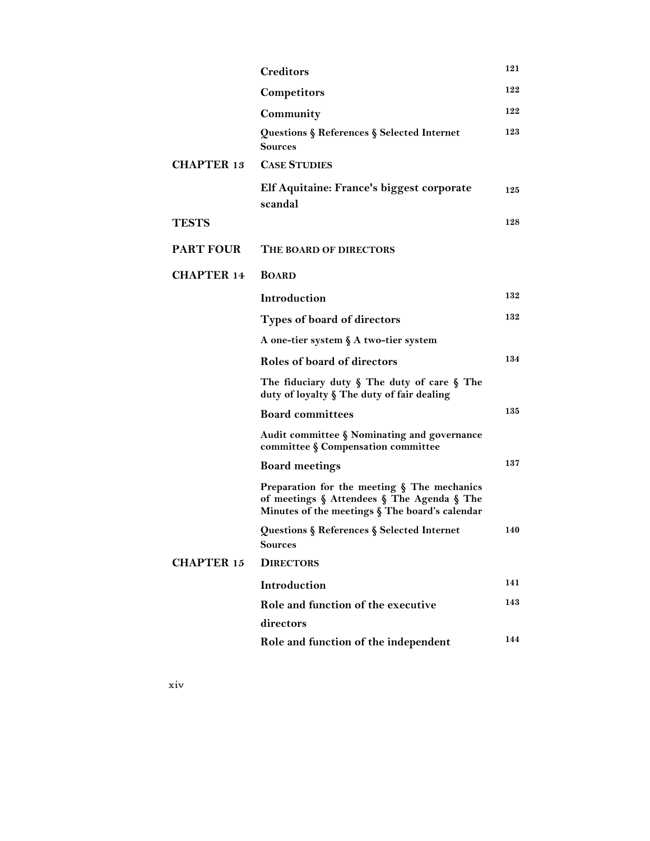|                   | <b>Creditors</b>                                                                                                                            | 121 |
|-------------------|---------------------------------------------------------------------------------------------------------------------------------------------|-----|
|                   | Competitors                                                                                                                                 | 122 |
|                   | Community                                                                                                                                   | 122 |
|                   | Questions § References § Selected Internet<br>Sources                                                                                       | 123 |
| <b>CHAPTER 13</b> | <b>CASE STUDIES</b>                                                                                                                         |     |
|                   | Elf Aquitaine: France's biggest corporate<br>scandal                                                                                        | 125 |
| TESTS             |                                                                                                                                             | 128 |
| <b>PART FOUR</b>  | <b>THE BOARD OF DIRECTORS</b>                                                                                                               |     |
| <b>CHAPTER 14</b> | <b>BOARD</b>                                                                                                                                |     |
|                   | Introduction                                                                                                                                | 132 |
|                   | Types of board of directors                                                                                                                 | 132 |
|                   | A one-tier system § A two-tier system                                                                                                       |     |
|                   | Roles of board of directors                                                                                                                 | 134 |
|                   | The fiduciary duty $\S$ The duty of care $\S$ The<br>duty of loyalty § The duty of fair dealing                                             |     |
|                   | <b>Board committees</b>                                                                                                                     | 135 |
|                   | Audit committee § Nominating and governance<br>committee § Compensation committee                                                           |     |
|                   | <b>Board meetings</b>                                                                                                                       | 137 |
|                   | Preparation for the meeting § The mechanics<br>of meetings § Attendees § The Agenda § The<br>Minutes of the meetings § The board's calendar |     |
|                   | Questions § References § Selected Internet<br>Sources                                                                                       | 140 |
| <b>CHAPTER 15</b> | <b>DIRECTORS</b>                                                                                                                            |     |
|                   | Introduction                                                                                                                                | 141 |
|                   | Role and function of the executive<br>directors                                                                                             | 143 |
|                   | Role and function of the independent                                                                                                        | 144 |
|                   |                                                                                                                                             |     |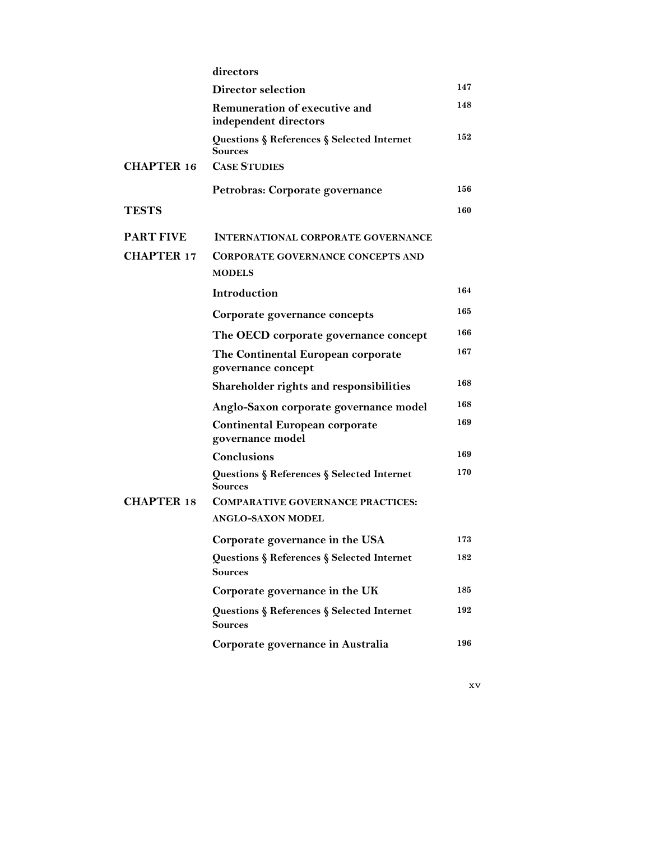|                   | directors                                                    |     |
|-------------------|--------------------------------------------------------------|-----|
|                   | Director selection                                           | 147 |
|                   | Remuneration of executive and<br>independent directors       | 148 |
|                   | Questions § References § Selected Internet<br>Sources        | 152 |
| <b>CHAPTER 16</b> | <b>CASE STUDIES</b>                                          |     |
|                   | Petrobras: Corporate governance                              | 156 |
| <b>TESTS</b>      |                                                              | 160 |
| <b>PART FIVE</b>  | <b>INTERNATIONAL CORPORATE GOVERNANCE</b>                    |     |
| <b>CHAPTER 17</b> | <b>CORPORATE GOVERNANCE CONCEPTS AND</b><br><b>MODELS</b>    |     |
|                   | <b>Introduction</b>                                          | 164 |
|                   | Corporate governance concepts                                | 165 |
|                   | The OECD corporate governance concept                        | 166 |
|                   | The Continental European corporate<br>governance concept     | 167 |
|                   | Shareholder rights and responsibilities                      | 168 |
|                   | Anglo-Saxon corporate governance model                       | 168 |
|                   | <b>Continental European corporate</b><br>governance model    | 169 |
|                   | <b>Conclusions</b>                                           | 169 |
|                   | Questions § References § Selected Internet<br>Sources        | 170 |
| <b>CHAPTER 18</b> | <b>COMPARATIVE GOVERNANCE PRACTICES:</b>                     |     |
|                   | ANGLO-SAXON MODEL                                            |     |
|                   | Corporate governance in the USA                              | 173 |
|                   | Questions § References § Selected Internet<br><b>Sources</b> | 182 |
|                   | Corporate governance in the UK                               | 185 |
|                   | Questions § References § Selected Internet<br><b>Sources</b> | 192 |
|                   | Corporate governance in Australia                            | 196 |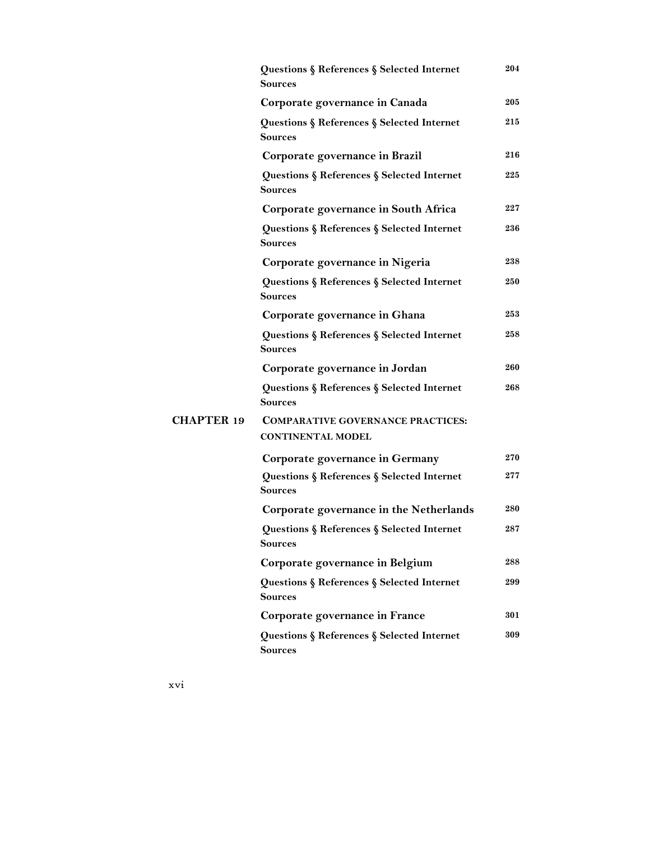|                   | Questions § References § Selected Internet<br><b>Sources</b> | 204 |
|-------------------|--------------------------------------------------------------|-----|
|                   | Corporate governance in Canada                               | 205 |
|                   | Questions § References § Selected Internet<br><b>Sources</b> | 215 |
|                   | Corporate governance in Brazil                               | 216 |
|                   | Questions § References § Selected Internet<br>Sources        | 225 |
|                   | Corporate governance in South Africa                         | 227 |
|                   | Questions § References § Selected Internet<br>Sources        | 236 |
|                   | Corporate governance in Nigeria                              | 238 |
|                   | Questions § References § Selected Internet<br><b>Sources</b> | 250 |
|                   | Corporate governance in Ghana                                | 253 |
|                   | Questions § References § Selected Internet<br>Sources        | 258 |
|                   | Corporate governance in Jordan                               | 260 |
|                   | Questions § References § Selected Internet<br><b>Sources</b> | 268 |
| <b>CHAPTER 19</b> | <b>COMPARATIVE GOVERNANCE PRACTICES:</b>                     |     |
|                   | <b>CONTINENTAL MODEL</b>                                     |     |
|                   | Corporate governance in Germany                              | 270 |
|                   | Questions § References § Selected Internet<br><b>Sources</b> | 277 |
|                   | Corporate governance in the Netherlands                      | 280 |
|                   | Questions § References § Selected Internet<br>Sources        | 287 |
|                   | Corporate governance in Belgium                              | 288 |
|                   | Questions § References § Selected Internet<br><b>Sources</b> | 299 |
|                   | Corporate governance in France                               | 301 |
|                   | Questions § References § Selected Internet<br><b>Sources</b> | 309 |